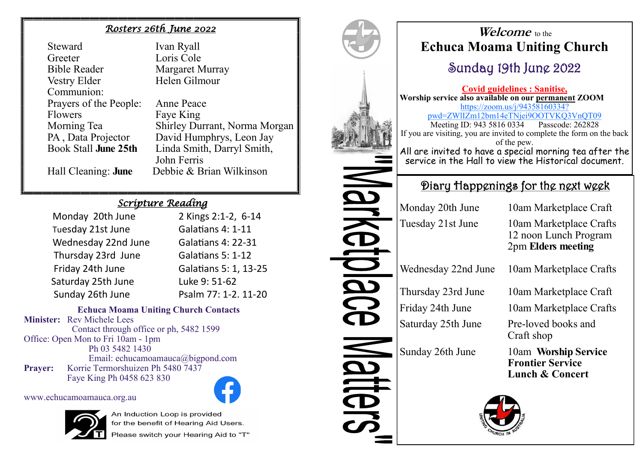#### *Rosters 26th June 2022*

Ivan Ryall Loris Cole

| Steward                     |
|-----------------------------|
| Greeter                     |
| <b>Bible Reader</b>         |
| Vestry Elder                |
| Communion:                  |
| Prayers of the People:      |
| Flowers                     |
| Morning Tea                 |
| PA, Data Projector          |
| <b>Book Stall June 25th</b> |
|                             |

Margaret Murray Helen Gilmour Anne Peace Faye King Shirley Durrant, Norma Morgan David Humphrys, Leon Jay Linda Smith, Darryl Smith, John Ferris Hall Cleaning: **June** Debbie & Brian Wilkinson

#### *Scripture Reading*

| Monday 20th June    | 2 Kings 2:1-2, 6-14       |
|---------------------|---------------------------|
| Tuesday 21st June   | Galatians 4: 1-11         |
| Wednesday 22nd June | <b>Galatians 4: 22-31</b> |
| Thursday 23rd June  | Galatians 5: 1-12         |
| Friday 24th June    | Galatians 5: 1, 13-25     |
| Saturday 25th June  | Luke 9: 51-62             |
| Sunday 26th June    | Psalm 77: 1-2. 11-20      |
|                     |                           |

#### **Echuca Moama Uniting Church Contacts Minister:** Rev Michele Lees

 Contact through office or ph, 5482 1599 Office: Open Mon to Fri 10am - 1pm Ph 03 5482 1430 Email: echucamoamauca@bigpond.com **Prayer:** Korrie Termorshuizen Ph 5480 7437 Faye King Ph 0458 623 830



www.echucamoamauca.org.au



An Induction Loop is provided for the benefit of Hearing Aid Users.

Please switch your Hearing Aid to "T"



## **Welcome** to the **Echuca Moama Uniting Church**

# Sunday 19th June 2022

**Covid guidelines : Sanitise, Worship service also available on our permanent ZOOM**

[https://zoom.us/j/94358160334?](https://zoom.us/j/94358160334?pwd=ZWlIZm12bm14eTNjei9OOTVKQ3VnQT09) [pwd=ZWlIZm12bm14eTNjei9OOTVKQ3VnQT09](https://zoom.us/j/94358160334?pwd=ZWlIZm12bm14eTNjei9OOTVKQ3VnQT09) Meeting ID: 943 5816 0334 Passcode: 262828 If you are visiting, you are invited to complete the form on the back of the pew. All are invited to have a special morning tea after the service in the Hall to view the Historical document.

## Diary Happenings for the next week

| ιe   | 10am Marketplace Craft                                                 |
|------|------------------------------------------------------------------------|
| e    | 10am Marketplace Crafts<br>12 noon Lunch Program<br>2pm Elders meeting |
| June | 10am Marketplace Crafts                                                |
| ıne  | 10am Marketplace Craft<br>10am Marketplace Crafts                      |
|      |                                                                        |
| ne   | Pre-loved books and<br>Craft shop                                      |
| ć    | 10am Worship Service<br>Frontier Service                               |

**Lunch & Concert**